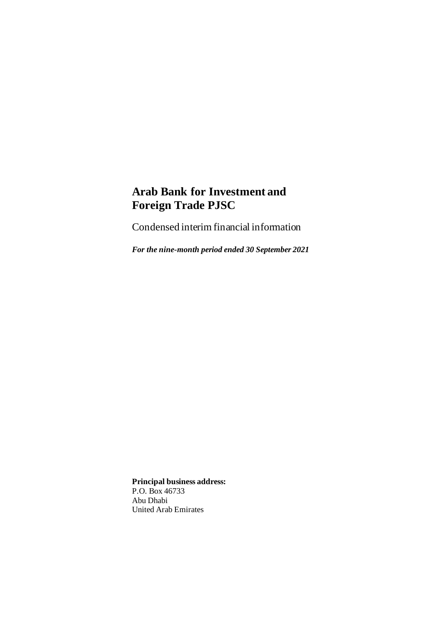Condensed interim financial information

*For the nine-month period ended 30 September 2021*

**Principal business address:** P.O. Box 46733 Abu Dhabi United Arab Emirates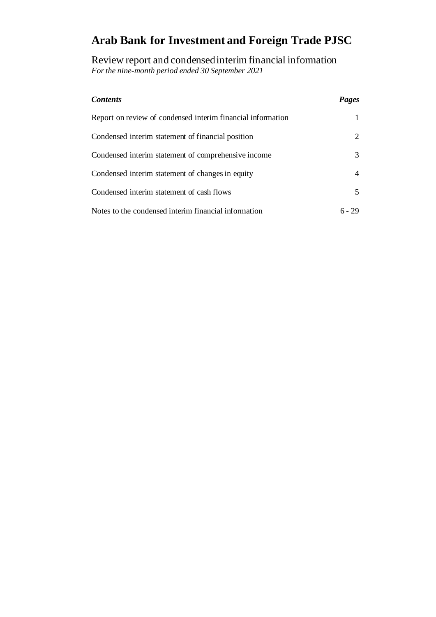Review report and condensed interim financial information *For the nine-month period ended 30 September 2021*

| <b>Contents</b>                                             | Pages  |
|-------------------------------------------------------------|--------|
| Report on review of condensed interim financial information |        |
| Condensed interim statement of financial position           | 2      |
| Condensed interim statement of comprehensive income         | 3      |
| Condensed interim statement of changes in equity            | 4      |
| Condensed interim statement of cash flows                   | 5      |
| Notes to the condensed interim financial information        | 6 - 29 |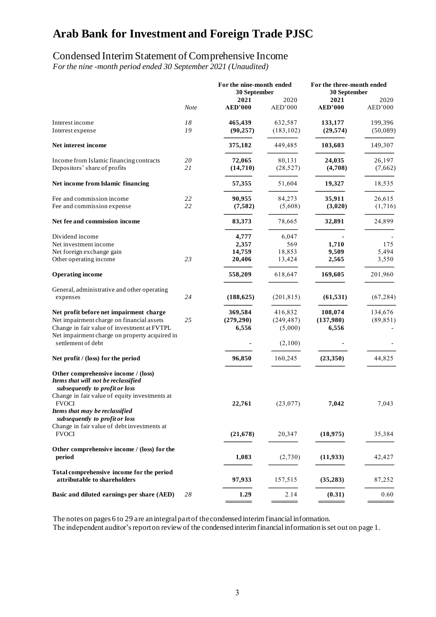### Condensed Interim Statement of Comprehensive Income

*For the nine -month period ended 30 September 2021 (Unaudited)*

|                                                                                                                                                                               |             | For the nine-month ended<br>30 September |                 | For the three-month ended<br>30 September |                 |
|-------------------------------------------------------------------------------------------------------------------------------------------------------------------------------|-------------|------------------------------------------|-----------------|-------------------------------------------|-----------------|
|                                                                                                                                                                               | <b>Note</b> | 2021<br><b>AED'000</b>                   | 2020<br>AED'000 | 2021<br><b>AED'000</b>                    | 2020<br>AED'000 |
| Interest income                                                                                                                                                               | 18          | 465,439                                  | 632,587         | 133,177                                   | 199,396         |
| Interest expense                                                                                                                                                              | 19          | (90, 257)                                | (183, 102)      | (29, 574)                                 | (50,089)        |
| Net interest income                                                                                                                                                           |             | 375,182                                  | 449,485         | 103,603                                   | 149,307         |
| Income from Islamic financing contracts                                                                                                                                       | 20          | 72,065                                   | 80,131          | 24,035                                    | 26,197          |
| Depositors' share of profits                                                                                                                                                  | 21          | (14,710)                                 | (28, 527)       | (4,708)                                   | (7,662)         |
| Net income from Islamic financing                                                                                                                                             |             | 57,355                                   | 51,604          | 19,327                                    | 18,535          |
| Fee and commission income                                                                                                                                                     | 22          | 90,955                                   | 84,273          | 35,911                                    | 26,615          |
| Fee and commission expense                                                                                                                                                    | 22          | (7, 582)                                 | (5,608)         | (3,020)                                   | (1,716)         |
| Net fee and commission income                                                                                                                                                 |             | 83,373                                   | 78,665          | 32,891                                    | 24,899          |
| Dividend income                                                                                                                                                               |             | 4,777                                    | 6,047           |                                           |                 |
| Net investment income                                                                                                                                                         |             | 2,357                                    | 569             | 1,710                                     | 175             |
| Net foreign exchange gain                                                                                                                                                     |             | 14,759                                   | 18,853          | 9,509                                     | 5,494           |
| Other operating income                                                                                                                                                        | 23          | 20,406                                   | 13,424          | 2,565                                     | 3,550           |
| <b>Operating income</b>                                                                                                                                                       |             | 558,209                                  | 618,647         | 169,605                                   | 201,960         |
| General, administrative and other operating                                                                                                                                   |             |                                          |                 |                                           |                 |
| expenses                                                                                                                                                                      | 24          | (188, 625)                               | (201, 815)      | (61, 531)                                 | (67, 284)       |
| Net profit before net impairment charge                                                                                                                                       |             | 369,584                                  | 416,832         | 108,074                                   | 134,676         |
| Net impairment charge on financial assets                                                                                                                                     | 25          | (279, 290)                               | (249, 487)      | (137,980)                                 | (89, 851)       |
| Change in fair value of investment at FVTPL                                                                                                                                   |             | 6,556                                    | (5,000)         | 6,556                                     |                 |
| Net impairment charge on property acquired in<br>settlement of debt                                                                                                           |             |                                          |                 |                                           |                 |
|                                                                                                                                                                               |             |                                          | (2,100)         |                                           |                 |
| Net profit / (loss) for the period                                                                                                                                            |             | 96,850                                   | 160,245         | (23,350)                                  | 44,825          |
| Other comprehensive income / (loss)<br>Items that will not be reclassified<br>subsequently to profit or loss<br>Change in fair value of equity investments at<br><b>FVOCI</b> |             | 22,761                                   | (23,077)        | 7,042                                     | 7,043           |
| Items that may be reclassified<br>subsequently to profit or loss<br>Change in fair value of debt investments at                                                               |             |                                          |                 |                                           |                 |
| <b>FVOCI</b>                                                                                                                                                                  |             | (21, 678)                                | 20,347          | (18, 975)                                 | 35,384          |
| Other comprehensive income / (loss) for the<br>period                                                                                                                         |             | 1,083                                    | (2,730)         | (11, 933)                                 | 42,427          |
| Total comprehensive income for the period<br>attributable to shareholders                                                                                                     |             | 97,933                                   | 157,515         | (35, 283)                                 | 87,252          |
| Basic and diluted earnings per share (AED)                                                                                                                                    | 28          | 1.29                                     | 2.14            | (0.31)                                    | 0.60            |
|                                                                                                                                                                               |             |                                          |                 |                                           |                 |

The notes on pages 6 to 29 are an integral part of the condensed interim financial information.

The independent auditor's report on review of the condensed interim financial information is set out on page 1.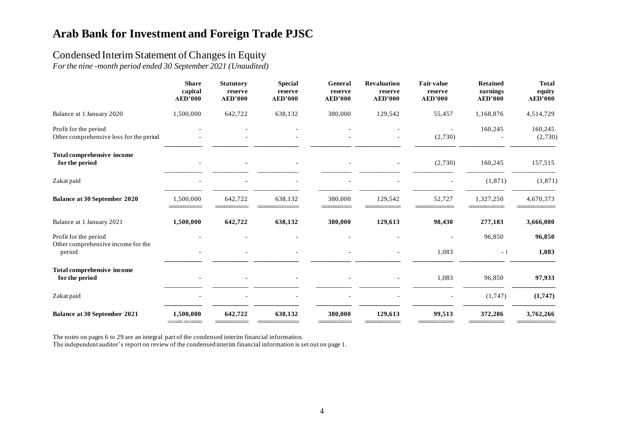### Condensed Interim Statement of Changes in Equity

*For the nine -month period ended 30 September 2021 (Unaudited)*

|                                                                  | <b>Share</b><br>capital<br><b>AED'000</b> | <b>Statutory</b><br>reserve<br><b>AED'000</b> | <b>Special</b><br>reserve<br><b>AED'000</b> | General<br>reserve<br><b>AED'000</b> | <b>Revaluation</b><br>reserve<br><b>AED'000</b> | <b>Fair value</b><br>reserve<br><b>AED'000</b> | <b>Retained</b><br>earnings<br><b>AED'000</b> | <b>Total</b><br>equity<br><b>AED'000</b> |
|------------------------------------------------------------------|-------------------------------------------|-----------------------------------------------|---------------------------------------------|--------------------------------------|-------------------------------------------------|------------------------------------------------|-----------------------------------------------|------------------------------------------|
| Balance at 1 January 2020                                        | 1,500,000                                 | 642,722                                       | 638,132                                     | 380,000                              | 129,542                                         | 55,457                                         | 1,168,876                                     | 4,514,729                                |
| Profit for the period<br>Other comprehensive loss for the period |                                           |                                               |                                             |                                      |                                                 | $\overline{\phantom{a}}$<br>(2,730)            | 160,245                                       | 160,245<br>(2,730)                       |
| <b>Total comprehensive income</b><br>for the period              |                                           |                                               |                                             |                                      |                                                 | (2,730)                                        | 160,245                                       | 157,515                                  |
| Zakat paid                                                       |                                           |                                               |                                             |                                      |                                                 |                                                | (1,871)                                       | (1,871)                                  |
| Balance at 30 September 2020                                     | 1,500,000                                 | 642,722                                       | 638,132                                     | 380,000                              | 129,542                                         | 52,727                                         | 1,327,250                                     | 4,670,373                                |
| Balance at 1 January 2021                                        | 1,500,000                                 | 642,722                                       | 638,132                                     | 380,000                              | 129,613                                         | 98,430                                         | 277,183                                       | 3,666,080                                |
| Profit for the period                                            |                                           |                                               |                                             |                                      |                                                 |                                                | 96,850                                        | 96,850                                   |
| Other comprehensive income for the<br>period                     |                                           |                                               |                                             |                                      |                                                 | 1,083                                          | $-1$                                          | 1,083                                    |
| <b>Total comprehensive income</b><br>for the period              |                                           |                                               |                                             |                                      |                                                 | 1,083                                          | 96,850                                        | 97,933                                   |
| Zakat paid                                                       |                                           |                                               |                                             |                                      |                                                 |                                                | (1,747)                                       | (1,747)                                  |
| <b>Balance at 30 September 2021</b>                              | 1,500,000                                 | 642,722                                       | 638,132                                     | 380,000                              | 129,613                                         | 99,513                                         | 372,286                                       | 3,762,266                                |

The notes on pages 6 to 29 are an integral part of the condensed interim financial information.

The independent auditor's report on review of the condensed interim financial information is set out on page 1.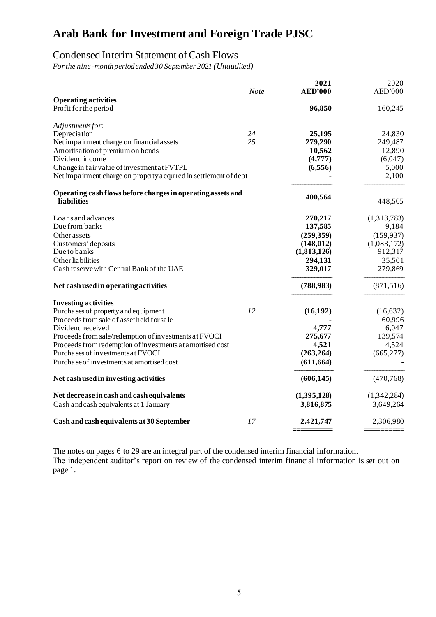### Condensed Interim Statement of Cash Flows

*For the nine -monthperiod ended 30 September 2021 (Unaudited)*

|                                                                            | <b>Note</b> | 2021<br><b>AED'000</b> | 2020<br>AED'000  |
|----------------------------------------------------------------------------|-------------|------------------------|------------------|
| <b>Operating activities</b>                                                |             |                        |                  |
| Profit for the period                                                      |             | 96,850                 | 160,245          |
| Adjustments for:                                                           |             |                        |                  |
| Depreciation                                                               | 24          | 25,195                 | 24,830           |
| Net impairment charge on financial assets                                  | 25          | 279,290                | 249,487          |
| Amortisation of premium on bonds<br>Dividend income                        |             | 10,562                 | 12,890           |
| Change in fair value of investment at FVTPL                                |             | (4,777)<br>(6,556)     | (6,047)<br>5,000 |
| Net impairment charge on property acquired in settlement of debt           |             |                        | 2,100            |
| Operating cash flows before changes in operating assets and                |             |                        |                  |
| liabilities                                                                |             | 400,564                | 448,505          |
| Loans and advances                                                         |             | 270,217                | (1,313,783)      |
| Due from banks                                                             |             | 137,585                | 9,184            |
| <b>Other assets</b>                                                        |             | (259, 359)             | (159, 937)       |
| Customers' deposits                                                        |             | (148, 012)             | (1,083,172)      |
| Due to banks                                                               |             | (1,813,126)            | 912,317          |
| Other liabilities                                                          |             | 294,131                | 35,501           |
| Cash reserve with Central Bank of the UAE                                  |             | 329,017                | 279,869          |
| Net cash used in operating activities                                      |             | (788, 983)             | (871, 516)       |
| <b>Investing activities</b>                                                |             |                        |                  |
| Purchases of property and equipment                                        | 12          | (16, 192)              | (16,632)         |
| Proceeds from sale of assetheld for sale                                   |             |                        | 60,996           |
| Dividend received<br>Proceeds from sale/redemption of investments at FVOCI |             | 4,777<br>275,677       | 6,047<br>139,574 |
| Proceeds from redemption of investments at a mortised cost                 |             | 4,521                  | 4,524            |
| Purchases of investments at FVOCI                                          |             | (263, 264)             | (665, 277)       |
| Purchase of investments at amortised cost                                  |             | (611, 664)             |                  |
|                                                                            |             |                        |                  |
| Net cash used in investing activities                                      |             | (606, 145)             | (470, 768)       |
| Net decrease in cash and cash equivalents                                  |             | (1,395,128)            | (1,342,284)      |
| Cash and cash equivalents at 1 January                                     |             | 3,816,875              | 3,649,264        |
| Cash and cash equivalents at 30 September                                  | 17          | 2,421,747              | 2,306,980        |
|                                                                            |             |                        |                  |

The notes on pages 6 to 29 are an integral part of the condensed interim financial information. The independent auditor's report on review of the condensed interim financial information is set out on page 1.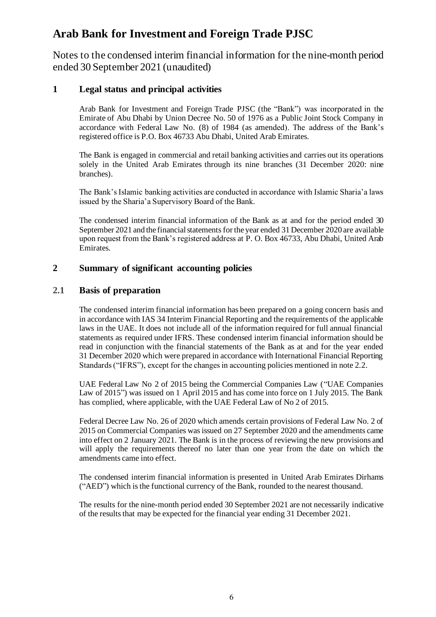Notes to the condensed interim financial information for the nine-month period ended 30 September 2021 (unaudited)

#### **1 Legal status and principal activities**

Arab Bank for Investment and Foreign Trade PJSC (the "Bank") was incorporated in the Emirate of Abu Dhabi by Union Decree No. 50 of 1976 as a Public Joint Stock Company in accordance with Federal Law No. (8) of 1984 (as amended). The address of the Bank's registered office is P.O. Box 46733 Abu Dhabi, United Arab Emirates.

The Bank is engaged in commercial and retail banking activities and carries out its operations solely in the United Arab Emirates through its nine branches (31 December 2020: nine branches).

The Bank's Islamic banking activities are conducted in accordance with Islamic Sharia'a laws issued by the Sharia'a Supervisory Board of the Bank.

The condensed interim financial information of the Bank as at and for the period ended 30 September 2021 and the financial statements for the year ended 31 December 2020 are available upon request from the Bank's registered address at P. O. Box 46733, Abu Dhabi, United Arab Emirates.

#### **2 Summary of significant accounting policies**

#### **2.1 Basis of preparation**

The condensed interim financial information has been prepared on a going concern basis and in accordance with IAS 34 Interim Financial Reporting and the requirements of the applicable laws in the UAE. It does not include all of the information required for full annual financial statements as required under IFRS. These condensed interim financial information should be read in conjunction with the financial statements of the Bank as at and for the year ended 31 December 2020 which were prepared in accordance with International Financial Reporting Standards ("IFRS"), except for the changes in accounting policies mentioned in note 2.2.

UAE Federal Law No 2 of 2015 being the Commercial Companies Law ("UAE Companies Law of 2015") was issued on 1 April 2015 and has come into force on 1 July 2015. The Bank has complied, where applicable, with the UAE Federal Law of No 2 of 2015.

Federal Decree Law No. 26 of 2020 which amends certain provisions of Federal Law No. 2 of 2015 on Commercial Companies was issued on 27 September 2020 and the amendments came into effect on 2 January 2021. The Bank is in the process of reviewing the new provisions and will apply the requirements thereof no later than one year from the date on which the amendments came into effect.

The condensed interim financial information is presented in United Arab Emirates Dirhams ("AED") which is the functional currency of the Bank, rounded to the nearest thousand.

The results for the nine-month period ended 30 September 2021 are not necessarily indicative of the results that may be expected for the financial year ending 31 December 2021.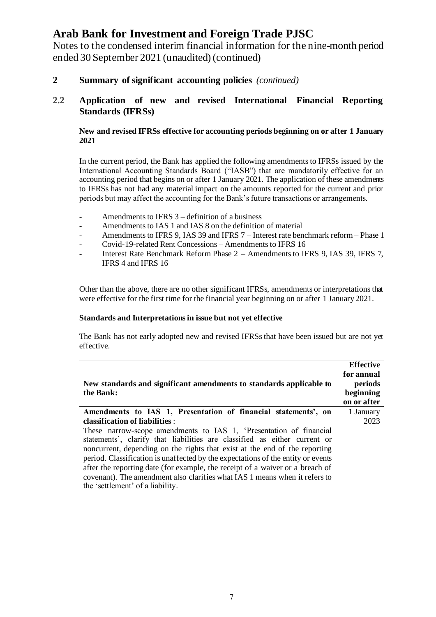Notes to the condensed interim financial information for the nine-month period ended 30 September 2021 (unaudited) (continued)

**2 Summary of significant accounting policies** *(continued)*

#### **2.2 Application of new and revised International Financial Reporting Standards (IFRSs)**

#### **New and revised IFRSs effective for accounting periods beginning on or after 1 January 2021**

In the current period, the Bank has applied the following amendments to IFRSs issued by the International Accounting Standards Board ("IASB") that are mandatorily effective for an accounting period that begins on or after 1 January 2021. The application of these amendments to IFRSs has not had any material impact on the amounts reported for the current and prior periods but may affect the accounting for the Bank's future transactions or arrangements.

- Amendments to IFRS 3 definition of a business
- Amendments to IAS 1 and IAS 8 on the definition of material
- Amendments to IFRS 9, IAS 39 and IFRS 7 Interest rate benchmark reform Phase 1
- Covid-19-related Rent Concessions Amendments to IFRS 16
- Interest Rate Benchmark Reform Phase 2 Amendments to IFRS 9, IAS 39, IFRS 7, IFRS 4 and IFRS 16

Other than the above, there are no other significant IFRSs, amendments or interpretations that were effective for the first time for the financial year beginning on or after 1 January 2021.

#### **Standards and Interpretations in issue but not yet effective**

The Bank has not early adopted new and revised IFRSs that have been issued but are not yet effective.

|                                                                                  | <b>Effective</b> |
|----------------------------------------------------------------------------------|------------------|
|                                                                                  | for annual       |
| New standards and significant amendments to standards applicable to              | periods          |
| the Bank:                                                                        | beginning        |
|                                                                                  | on or after      |
| Amendments to IAS 1, Presentation of financial statements', on                   | 1 January        |
| classification of liabilities :                                                  | 2023             |
| These narrow-scope amendments to IAS 1, 'Presentation of financial               |                  |
| statements', clarify that liabilities are classified as either current or        |                  |
| noncurrent, depending on the rights that exist at the end of the reporting       |                  |
| period. Classification is unaffected by the expectations of the entity or events |                  |

pd. Classification is unaffected by the expectations of the entity or events after the reporting date (for example, the receipt of a waiver or a breach of covenant). The amendment also clarifies what IAS 1 means when it refers to the 'settlement' of a liability.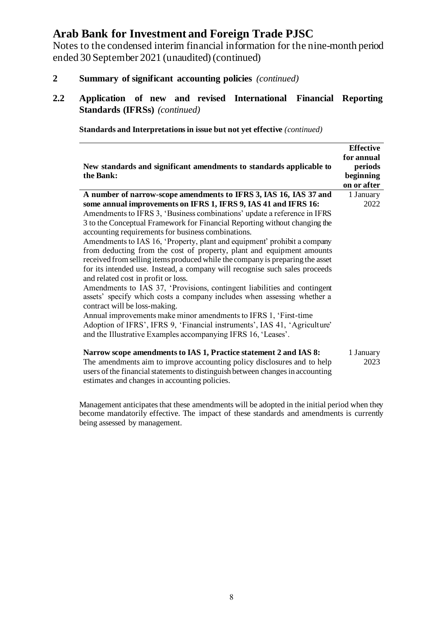Notes to the condensed interim financial information for the nine-month period ended 30 September 2021 (unaudited) (continued)

- **2 Summary of significant accounting policies** *(continued)*
- **2.2 Application of new and revised International Financial Reporting Standards (IFRSs)** *(continued)*

| New standards and significant amendments to standards applicable to<br>the Bank:                                                                                                                                                                                                                                                                                                                                                                                                                                                                                                                                                                                                                                                                                                                                                                                                                                                                                                                                                                                                                                           | <b>Effective</b><br>for annual<br>periods<br>beginning |
|----------------------------------------------------------------------------------------------------------------------------------------------------------------------------------------------------------------------------------------------------------------------------------------------------------------------------------------------------------------------------------------------------------------------------------------------------------------------------------------------------------------------------------------------------------------------------------------------------------------------------------------------------------------------------------------------------------------------------------------------------------------------------------------------------------------------------------------------------------------------------------------------------------------------------------------------------------------------------------------------------------------------------------------------------------------------------------------------------------------------------|--------------------------------------------------------|
|                                                                                                                                                                                                                                                                                                                                                                                                                                                                                                                                                                                                                                                                                                                                                                                                                                                                                                                                                                                                                                                                                                                            | on or after                                            |
| A number of narrow-scope amendments to IFRS 3, IAS 16, IAS 37 and<br>some annual improvements on IFRS 1, IFRS 9, IAS 41 and IFRS 16:<br>Amendments to IFRS 3, 'Business combinations' update a reference in IFRS<br>3 to the Conceptual Framework for Financial Reporting without changing the<br>accounting requirements for business combinations.<br>Amendments to IAS 16, 'Property, plant and equipment' prohibit a company<br>from deducting from the cost of property, plant and equipment amounts<br>received from selling items produced while the company is preparing the asset<br>for its intended use. Instead, a company will recognise such sales proceeds<br>and related cost in profit or loss.<br>Amendments to IAS 37, 'Provisions, contingent liabilities and contingent<br>assets' specify which costs a company includes when assessing whether a<br>contract will be loss-making.<br>Annual improvements make minor amendments to IFRS 1, 'First-time<br>Adoption of IFRS', IFRS 9, 'Financial instruments', IAS 41, 'Agriculture'<br>and the Illustrative Examples accompanying IFRS 16, 'Leases'. | 1 January<br>2022                                      |
| Narrow scope amendments to IAS 1, Practice statement 2 and IAS 8:<br>The amendments aim to improve accounting policy disclosures and to help<br>users of the financial statements to distinguish between changes in accounting<br>estimates and changes in accounting policies.                                                                                                                                                                                                                                                                                                                                                                                                                                                                                                                                                                                                                                                                                                                                                                                                                                            | 1 January<br>2023                                      |

**Standards and Interpretations in issue but not yet effective** *(continued)*

Management anticipates that these amendments will be adopted in the initial period when they become mandatorily effective. The impact of these standards and amendments is currently being assessed by management.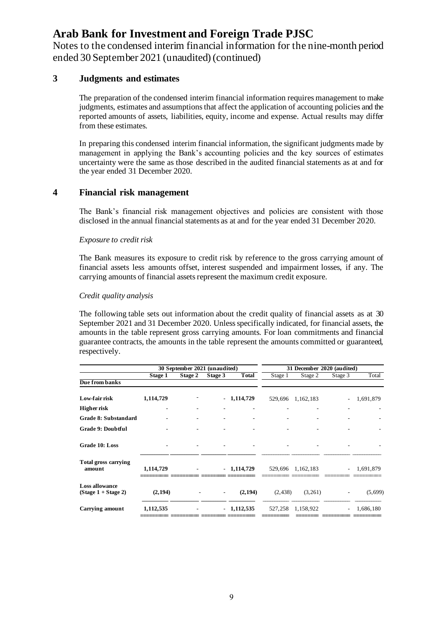Notes to the condensed interim financial information for the nine-month period ended 30 September 2021 (unaudited) (continued)

#### **3 Judgments and estimates**

The preparation of the condensed interim financial information requires management to make judgments, estimates and assumptions that affect the application of accounting policies and the reported amounts of assets, liabilities, equity, income and expense. Actual results may differ from these estimates.

In preparing this condensed interim financial information, the significant judgments made by management in applying the Bank's accounting policies and the key sources of estimates uncertainty were the same as those described in the audited financial statements as at and for the year ended 31 December 2020.

#### **4 Financial risk management**

The Bank's financial risk management objectives and policies are consistent with those disclosed in the annual financial statements as at and for the year ended 31 December 2020.

#### *Exposure to credit risk*

The Bank measures its exposure to credit risk by reference to the gross carrying amount of financial assets less amounts offset, interest suspended and impairment losses, if any. The carrying amounts of financial assets represent the maximum credit exposure.

#### *Credit quality analysis*

The following table sets out information about the credit quality of financial assets as at 30 September 2021 and 31 December 2020. Unless specifically indicated, for financial assets, the amounts in the table represent gross carrying amounts. For loan commitments and financial guarantee contracts, the amounts in the table represent the amounts committed or guaranteed, respectively.

|                                                |           | 30 September 2021 (unaudited) |                          |              |          | 31 December 2020 (audited) |         |           |
|------------------------------------------------|-----------|-------------------------------|--------------------------|--------------|----------|----------------------------|---------|-----------|
|                                                | Stage 1   | Stage 2                       | Stage 3                  | <b>Total</b> | Stage 1  | Stage 2                    | Stage 3 | Total     |
| Due from banks                                 |           |                               |                          |              |          |                            |         |           |
| Low-fair risk                                  | 1,114,729 |                               |                          | $-1,114,729$ | 529,696  | 1,162,183                  |         | 1,691,879 |
| Higher risk                                    |           |                               |                          |              |          |                            |         |           |
| Grade 8: Substandard                           |           |                               |                          |              |          |                            |         |           |
| <b>Grade 9: Doubtful</b>                       |           |                               |                          |              |          |                            |         |           |
| Grade 10: Loss                                 |           |                               |                          |              |          |                            |         |           |
| <b>Total gross carrying</b><br>amount          | 1,114,729 |                               |                          | $-1,114,729$ |          | 529,696 1,162,183          |         | 1,691,879 |
| <b>Loss allowance</b><br>$(Stage 1 + Stage 2)$ | (2,194)   |                               | $\overline{\phantom{a}}$ | (2, 194)     | (2, 438) | (3,261)                    |         | (5,699)   |
| Carrying amount                                | 1,112,535 |                               |                          | $-1,112,535$ | 527,258  | 1,158,922                  |         | 1,686,180 |
|                                                |           |                               |                          |              |          |                            |         |           |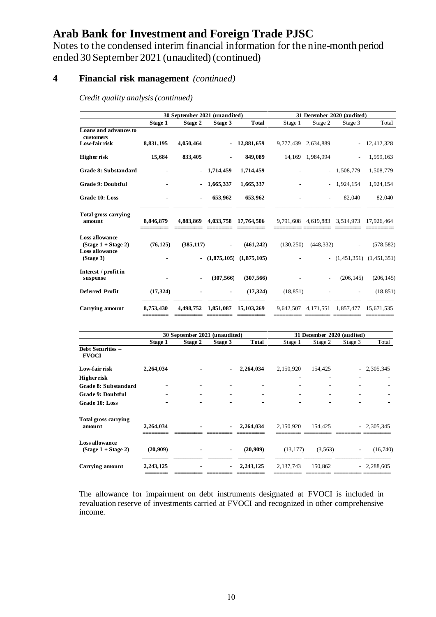Notes to the condensed interim financial information for the nine-month period ended 30 September 2021 (unaudited) (continued)

### **4 Financial risk management** *(continued)*

*Credit quality analysis (continued)*

|                                                                         | 30 September 2021 (unaudited) |                          |                | 31 December 2020 (audited) |            |                               |            |                              |
|-------------------------------------------------------------------------|-------------------------------|--------------------------|----------------|----------------------------|------------|-------------------------------|------------|------------------------------|
|                                                                         | Stage 1                       | Stage 2                  | Stage 3        | <b>Total</b>               | Stage 1    | Stage 2                       | Stage 3    | Total                        |
| Loans and advances to<br>customers                                      |                               |                          |                |                            |            |                               |            |                              |
| Low-fair risk                                                           | 8,831,195                     | 4,050,464                |                | 12,881,659                 | 9,777,439  | 2.634.889                     |            | 12,412,328                   |
| <b>Higher risk</b>                                                      | 15,684                        | 833,405                  |                | 849,089                    |            | 14,169 1,984,994              |            | 1,999,163                    |
| Grade 8: Substandard                                                    |                               |                          | $-1,714,459$   | 1,714,459                  |            |                               | 1,508,779  | 1,508,779                    |
| <b>Grade 9: Doubtful</b>                                                |                               |                          | 1,665,337      | 1,665,337                  |            | $\overline{\phantom{a}}$      | 1,924,154  | 1,924,154                    |
| Grade 10: Loss                                                          |                               | $\overline{\phantom{a}}$ | 653,962        | 653,962                    |            |                               | 82,040     | 82,040                       |
| <b>Total gross carrying</b><br>amount                                   | 8,846,879                     | 4,883,869                | 4,033,758      | 17,764,506                 |            | 9,791,608 4,619,883 3,514,973 |            | 17,926,464                   |
| <b>Loss allowance</b><br>$(Stage 1 + Stage 2)$<br><b>Loss allowance</b> | (76, 125)                     | (385, 117)               |                | (461, 242)                 | (130, 250) | (448, 332)                    |            | (578, 582)                   |
| (Stage 3)                                                               |                               |                          | (1,875,105)    | (1,875,105)                |            |                               |            | $ (1,451,351)$ $(1,451,351)$ |
| Interest / profit in<br>suspense                                        |                               |                          | (307, 566)     | (307, 566)                 |            |                               | (206, 145) | (206, 145)                   |
| <b>Deferred Profit</b>                                                  | (17, 324)                     |                          | $\blacksquare$ | (17, 324)                  | (18, 851)  |                               |            | (18, 851)                    |
| <b>Carrying amount</b>                                                  | 8,753,430                     | 4,498,752                | 1,851,087      | 15, 103, 269               | 9,642,507  | 4, 171, 551 1, 857, 477       |            | 15.671.535                   |

|                                                | 30 September 2021 (unaudited) |         |                |              | 31 December 2020 (audited) |          |         |              |
|------------------------------------------------|-------------------------------|---------|----------------|--------------|----------------------------|----------|---------|--------------|
|                                                | Stage 1                       | Stage 2 | Stage 3        | <b>Total</b> | Stage 1                    | Stage 2  | Stage 3 | Total        |
| Debt Securities -<br><b>FVOCI</b>              |                               |         |                |              |                            |          |         |              |
| Low-fair risk                                  | 2,264,034                     |         |                | 2,264,034    | 2,150,920                  | 154,425  |         | 2,305,345    |
| Higher risk                                    |                               |         |                |              |                            |          |         |              |
| Grade 8: Substandard                           |                               |         |                |              |                            |          |         |              |
| Grade 9: Doubtful                              |                               |         |                |              |                            |          |         |              |
| Grade 10: Loss                                 |                               |         |                |              | -                          |          |         |              |
| <b>Total gross carrying</b><br>amount          | 2,264,034                     |         | $\blacksquare$ | 2,264,034    | 2,150,920                  | 154,425  |         | $-2,305,345$ |
| <b>Loss allowance</b><br>$(Stage 1 + Stage 2)$ | (20,909)                      |         | $\sim$         | (20,909)     | (13, 177)                  | (3, 563) |         | (16,740)     |
| <b>Carrying amount</b>                         | 2,243,125                     |         |                | 2, 243, 125  | 2, 137, 743                | 150,862  |         | $-2,288,605$ |

The allowance for impairment on debt instruments designated at FVOCI is included in revaluation reserve of investments carried at FVOCI and recognized in other comprehensive income.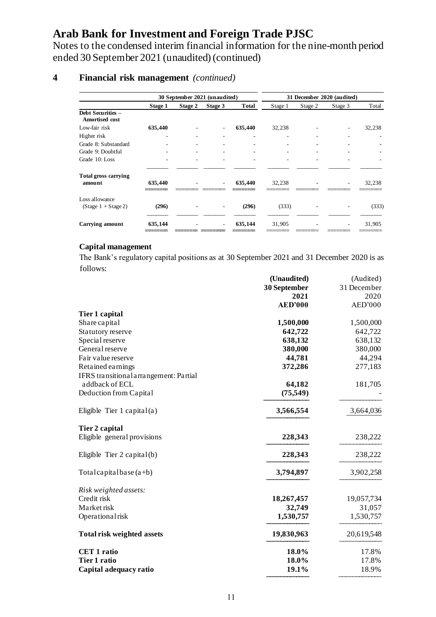Notes to the condensed interim financial information for the nine-month period ended 30 September 2021 (unaudited) (continued)

### **4 Financial risk management** *(continued)*

|                                            | 30 September 2021 (unaudited) |         |                          |              | 31 December 2020 (audited) |         |         |        |
|--------------------------------------------|-------------------------------|---------|--------------------------|--------------|----------------------------|---------|---------|--------|
|                                            | Stage 1                       | Stage 2 | Stage 3                  | <b>Total</b> | Stage 1                    | Stage 2 | Stage 3 | Total  |
| Debt Securities -<br><b>Amortised cost</b> |                               |         |                          |              |                            |         |         |        |
| Low-fair risk                              | 635,440                       |         | ٠                        | 635,440      | 32,238                     |         |         | 32,238 |
| Higher risk                                |                               |         | $\overline{\phantom{a}}$ | ۰            |                            |         |         |        |
| Grade 8: Substandard                       |                               | ۰       | $\overline{\phantom{a}}$ | ۰            | $\overline{\phantom{a}}$   | ۰       |         |        |
| Grade 9: Doubtful                          |                               | ۰       | $\overline{\phantom{a}}$ | ٠            | ٠                          | ۰       |         |        |
| Grade 10: Loss                             |                               | ۰       | $\overline{\phantom{a}}$ | ۰            | ٠                          | ۰       |         |        |
|                                            |                               |         |                          |              |                            |         |         |        |
| <b>Total gross carrying</b><br>amount      | 635,440                       |         | $\overline{\phantom{a}}$ | 635,440      | 32,238                     |         |         | 32,238 |
| Loss allowance<br>$(Stage 1 + Stage 2)$    | (296)                         |         |                          | (296)        | (333)                      |         |         | (333)  |
| <b>Carrying amount</b>                     | 635,144                       |         | $\overline{\phantom{a}}$ | 635,144      | 31,905                     | ۰       | ٠       | 31,905 |

#### **Capital management**

The Bank's regulatory capital positions as at 30 September 2021 and 31 December 2020 is as follows:

|                                        | (Unaudited)<br>30 September<br>2021 | (Audited)<br>31 December<br>2020 |
|----------------------------------------|-------------------------------------|----------------------------------|
|                                        | <b>AED'000</b>                      | AED'000                          |
| Tier 1 capital                         |                                     |                                  |
| Share capital                          | 1,500,000                           | 1,500,000                        |
| Statutory reserve                      | 642,722                             | 642,722                          |
| Special reserve                        | 638,132                             | 638,132                          |
| General reserve                        | 380,000                             | 380,000                          |
| Fair value reserve                     | 44,781                              | 44,294                           |
| Retained earnings                      | 372,286                             | 277,183                          |
| IFRS transitional arrangement: Partial |                                     |                                  |
| addback of ECL                         | 64,182                              | 181,705                          |
| Deduction from Capital                 | (75, 549)                           |                                  |
| Eligible Tier 1 capital(a)             | 3,566,554                           | 3,664,036                        |
| Tier 2 capital                         |                                     |                                  |
| Eligible general provisions            | 228,343                             | 238,222                          |
| Eligible Tier $2$ capital(b)           | 228,343                             | 238,222                          |
| Total capital base $(a+b)$             | 3,794,897                           | 3,902,258                        |
| Risk weighted assets:                  |                                     |                                  |
| Credit risk                            | 18,267,457                          | 19,057,734                       |
| Market risk                            | 32,749                              | 31,057                           |
| Operationalrisk                        | 1,530,757                           | 1,530,757                        |
| <b>Total risk weighted assets</b>      | 19,830,963                          | 20,619,548                       |
| <b>CET 1 ratio</b>                     | 18.0%                               | 17.8%                            |
| <b>Tier 1 ratio</b>                    | 18.0%                               | 17.8%                            |
| Capital adequacy ratio                 | 19.1%                               | 18.9%                            |
|                                        |                                     |                                  |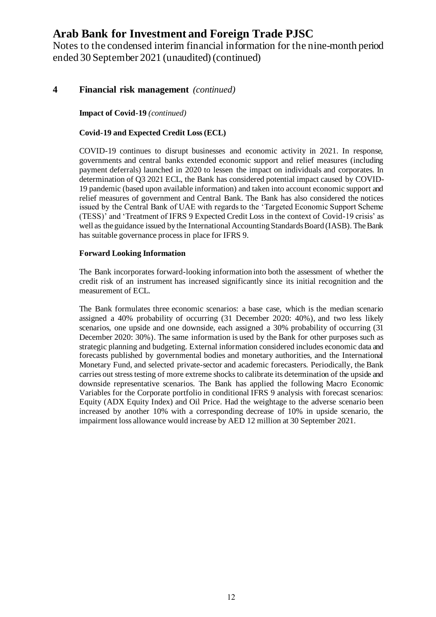Notes to the condensed interim financial information for the nine-month period ended 30 September 2021 (unaudited) (continued)

#### **4 Financial risk management** *(continued)*

**Impact of Covid-19** *(continued)*

#### **Covid-19 and Expected Credit Loss (ECL)**

COVID-19 continues to disrupt businesses and economic activity in 2021. In response, governments and central banks extended economic support and relief measures (including payment deferrals) launched in 2020 to lessen the impact on individuals and corporates. In determination of Q3 2021 ECL, the Bank has considered potential impact caused by COVID-19 pandemic (based upon available information) and taken into account economic support and relief measures of government and Central Bank. The Bank has also considered the notices issued by the Central Bank of UAE with regards to the 'Targeted Economic Support Scheme (TESS)' and 'Treatment of IFRS 9 Expected Credit Loss in the context of Covid-19 crisis' as well as the guidance issued by the International Accounting Standards Board (IASB). The Bank has suitable governance process in place for IFRS 9.

#### **Forward Looking Information**

The Bank incorporates forward-looking information into both the assessment of whether the credit risk of an instrument has increased significantly since its initial recognition and the measurement of ECL.

The Bank formulates three economic scenarios: a base case, which is the median scenario assigned a 40% probability of occurring (31 December 2020: 40%), and two less likely scenarios, one upside and one downside, each assigned a 30% probability of occurring (31 December 2020: 30%). The same information is used by the Bank for other purposes such as strategic planning and budgeting. External information considered includes economic data and forecasts published by governmental bodies and monetary authorities, and the International Monetary Fund, and selected private-sector and academic forecasters. Periodically, the Bank carries out stress testing of more extreme shocks to calibrate its determination of the upside and downside representative scenarios. The Bank has applied the following Macro Economic Variables for the Corporate portfolio in conditional IFRS 9 analysis with forecast scenarios: Equity (ADX Equity Index) and Oil Price. Had the weightage to the adverse scenario been increased by another 10% with a corresponding decrease of 10% in upside scenario, the impairment loss allowance would increase by AED 12 million at 30 September 2021.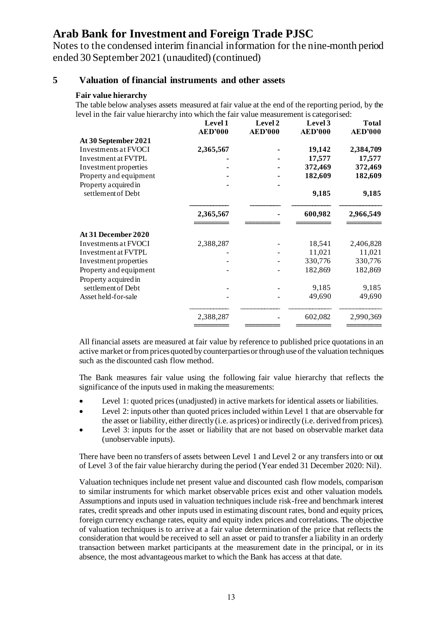Notes to the condensed interim financial information for the nine-month period ended 30 September 2021 (unaudited) (continued)

#### **5 Valuation of financial instruments and other assets**

#### **Fair value hierarchy**

The table below analyses assets measured at fair value at the end of the reporting period, by the level in the fair value hierarchy into which the fair value measurement is categorised:

|                        | Level 1<br><b>AED'000</b> | Level 2<br><b>AED'000</b> | Level 3<br><b>AED'000</b> | <b>Total</b><br><b>AED'000</b> |
|------------------------|---------------------------|---------------------------|---------------------------|--------------------------------|
| At 30 September 2021   |                           |                           |                           |                                |
| Investments at FVOCI   | 2,365,567                 |                           | 19,142                    | 2,384,709                      |
| Investment at FVTPL    |                           |                           | 17,577                    | 17,577                         |
| Investment properties  |                           |                           | 372,469                   | 372,469                        |
| Property and equipment |                           |                           | 182,609                   | 182,609                        |
| Property acquired in   |                           |                           |                           |                                |
| settlement of Debt     |                           |                           | 9,185                     | 9,185                          |
|                        | 2,365,567                 |                           | 600,982                   | 2,966,549                      |
| At 31 December 2020    |                           |                           |                           |                                |
| Investments at FVOCI   | 2,388,287                 |                           | 18,541                    | 2,406,828                      |
| Investment at FVTPL    |                           |                           | 11,021                    | 11,021                         |
| Investment properties  |                           |                           | 330,776                   | 330,776                        |
| Property and equipment |                           |                           | 182,869                   | 182,869                        |
| Property acquired in   |                           |                           |                           |                                |
| settlement of Debt     |                           |                           | 9,185                     | 9,185                          |
| Asset held-for-sale    |                           |                           | 49,690                    | 49,690                         |
|                        | 2,388,287                 |                           | 602,082                   | 2,990,369                      |
|                        |                           |                           |                           |                                |

All financial assets are measured at fair value by reference to published price quotations in an active market or from prices quoted by counterparties or through use of the valuation techniques such as the discounted cash flow method.

The Bank measures fair value using the following fair value hierarchy that reflects the significance of the inputs used in making the measurements:

- Level 1: quoted prices (unadjusted) in active markets for identical assets or liabilities.
- Level 2: inputs other than quoted prices included within Level 1 that are observable for the asset or liability, either directly (i.e. as prices) or indirectly (i.e. derived from prices).
- Level 3: inputs for the asset or liability that are not based on observable market data (unobservable inputs).

There have been no transfers of assets between Level 1 and Level 2 or any transfers into or out of Level 3 of the fair value hierarchy during the period (Year ended 31 December 2020: Nil).

Valuation techniques include net present value and discounted cash flow models, comparison to similar instruments for which market observable prices exist and other valuation models. Assumptions and inputs used in valuation techniques include risk-free and benchmark interest rates, credit spreads and other inputs used in estimating discount rates, bond and equity prices, foreign currency exchange rates, equity and equity index prices and correlations. The objective of valuation techniques is to arrive at a fair value determination of the price that reflects the consideration that would be received to sell an asset or paid to transfer a liability in an orderly transaction between market participants at the measurement date in the principal, or in its absence, the most advantageous market to which the Bank has access at that date.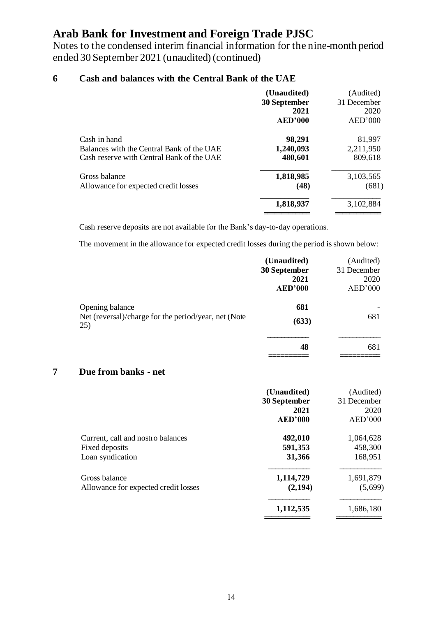Notes to the condensed interim financial information for the nine-month period ended 30 September 2021 (unaudited) (continued)

### **6 Cash and balances with the Central Bank of the UAE**

|                                           | (Unaudited)<br>30 September<br>2021<br><b>AED'000</b> | (Audited)<br>31 December<br>2020<br>AED'000 |
|-------------------------------------------|-------------------------------------------------------|---------------------------------------------|
| Cash in hand                              | 98,291                                                | 81,997                                      |
| Balances with the Central Bank of the UAE | 1,240,093                                             | 2,211,950                                   |
| Cash reserve with Central Bank of the UAE | 480,601                                               | 809,618                                     |
| Gross balance                             | 1,818,985                                             | 3,103,565                                   |
| Allowance for expected credit losses      | (48)                                                  | (681)                                       |
|                                           | 1,818,937                                             | 3,102,884                                   |
|                                           |                                                       |                                             |

Cash reserve deposits are not available for the Bank's day-to-day operations.

The movement in the allowance for expected credit losses during the period is shown below:

|                                                             | (Unaudited)    | (Audited)   |
|-------------------------------------------------------------|----------------|-------------|
|                                                             | 30 September   | 31 December |
|                                                             | 2021           | 2020        |
|                                                             | <b>AED'000</b> | AED'000     |
| Opening balance                                             | 681            |             |
| Net (reversal)/charge for the period/year, net (Note<br>25) | (633)          | 681         |
|                                                             | 48             | 681         |
|                                                             |                |             |

#### **7 Due from banks - net**

|                                      | (Unaudited)<br>30 September<br>2021<br>AED'000 | (Audited)<br>31 December<br>2020<br>AED'000 |
|--------------------------------------|------------------------------------------------|---------------------------------------------|
| Current, call and nostro balances    | 492,010                                        | 1,064,628                                   |
| Fixed deposits                       | 591,353                                        | 458,300                                     |
| Loan syndication                     | 31,366                                         | 168,951                                     |
| Gross balance                        | 1,114,729                                      | 1,691,879                                   |
| Allowance for expected credit losses | (2,194)                                        | (5,699)                                     |
|                                      | 1,112,535                                      | 1,686,180                                   |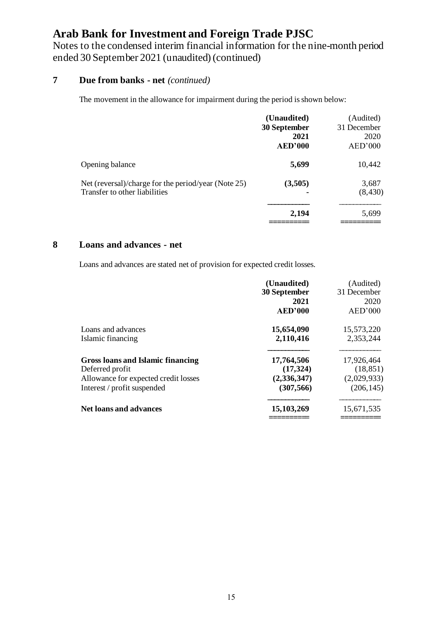Notes to the condensed interim financial information for the nine-month period ended 30 September 2021 (unaudited) (continued)

### **7 Due from banks - net** *(continued)*

The movement in the allowance for impairment during the period is shown below:

|                                                                                      | (Unaudited)<br>30 September<br>2021<br><b>AED'000</b> | (Audited)<br>31 December<br>2020<br>AED'000 |
|--------------------------------------------------------------------------------------|-------------------------------------------------------|---------------------------------------------|
| Opening balance                                                                      | 5,699                                                 | 10,442                                      |
| Net (reversal)/charge for the period/year (Note 25)<br>Transfer to other liabilities | (3,505)                                               | 3,687<br>(8, 430)                           |
|                                                                                      | 2,194                                                 | 5,699                                       |

#### **8 Loans and advances - net**

Loans and advances are stated net of provision for expected credit losses.

|                                      | (Unaudited)    | (Audited)   |
|--------------------------------------|----------------|-------------|
|                                      | 30 September   | 31 December |
|                                      | 2021           | 2020        |
|                                      | <b>AED'000</b> | AED'000     |
| Loans and advances                   | 15,654,090     | 15,573,220  |
| Islamic financing                    | 2,110,416      | 2,353,244   |
| Gross loans and Islamic financing    | 17,764,506     | 17,926,464  |
| Deferred profit                      | (17, 324)      | (18, 851)   |
| Allowance for expected credit losses | (2,336,347)    | (2,029,933) |
| Interest / profit suspended          | (307, 566)     | (206, 145)  |
| <b>Net loans and advances</b>        | 15,103,269     | 15,671,535  |
|                                      |                |             |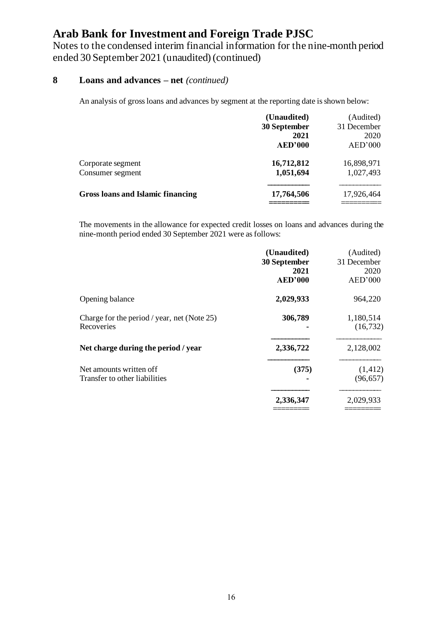Notes to the condensed interim financial information for the nine-month period ended 30 September 2021 (unaudited) (continued)

### **8 Loans and advances – net** *(continued)*

An analysis of gross loans and advances by segment at the reporting date is shown below:

|                                          | (Unaudited)  | (Audited)   |
|------------------------------------------|--------------|-------------|
|                                          | 30 September | 31 December |
|                                          | 2021         | 2020        |
|                                          | AED'000      | AED'000     |
| Corporate segment                        | 16,712,812   | 16,898,971  |
| Consumer segment                         | 1,051,694    | 1,027,493   |
| <b>Gross loans and Islamic financing</b> | 17,764,506   | 17,926,464  |
|                                          |              |             |

The movements in the allowance for expected credit losses on loans and advances during the nine-month period ended 30 September 2021 were as follows:

|                                             | (Unaudited)    | (Audited)   |
|---------------------------------------------|----------------|-------------|
|                                             | 30 September   | 31 December |
|                                             | 2021           | 2020        |
|                                             | <b>AED'000</b> | AED'000     |
| Opening balance                             | 2,029,933      | 964,220     |
| Charge for the period / year, net (Note 25) | 306,789        | 1,180,514   |
| Recoveries                                  |                | (16, 732)   |
| Net charge during the period / year         | 2,336,722      | 2,128,002   |
| Net amounts written off                     | (375)          | (1, 412)    |
| Transfer to other liabilities               |                | (96, 657)   |
|                                             | 2,336,347      | 2,029,933   |
|                                             |                |             |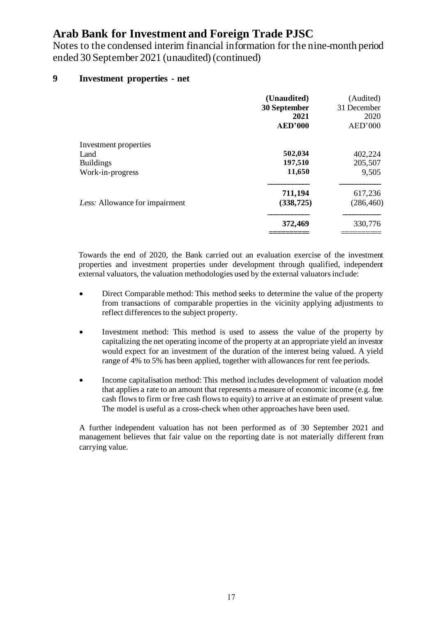Notes to the condensed interim financial information for the nine-month period ended 30 September 2021 (unaudited) (continued)

#### **9 Investment properties - net**

|                                | (Unaudited)<br>30 September<br>2021<br><b>AED'000</b> | (Audited)<br>31 December<br>2020<br>AED'000 |
|--------------------------------|-------------------------------------------------------|---------------------------------------------|
| Investment properties          |                                                       |                                             |
| Land                           | 502,034                                               | 402,224                                     |
| <b>Buildings</b>               | 197,510                                               | 205,507                                     |
| Work-in-progress               | 11,650                                                | 9,505                                       |
|                                | 711,194                                               | 617,236                                     |
| Less: Allowance for impairment | (338, 725)                                            | (286, 460)                                  |
|                                | 372,469                                               | 330,776                                     |
|                                |                                                       |                                             |

Towards the end of 2020, the Bank carried out an evaluation exercise of the investment properties and investment properties under development through qualified, independent external valuators, the valuation methodologies used by the external valuators include:

- Direct Comparable method: This method seeks to determine the value of the property from transactions of comparable properties in the vicinity applying adjustments to reflect differences to the subject property.
- Investment method: This method is used to assess the value of the property by capitalizing the net operating income of the property at an appropriate yield an investor would expect for an investment of the duration of the interest being valued. A yield range of 4% to 5% has been applied, together with allowances for rent fee periods.
- Income capitalisation method: This method includes development of valuation model that applies a rate to an amount that represents a measure of economic income (e.g. free cash flows to firm or free cash flows to equity) to arrive at an estimate of present value. The model is useful as a cross-check when other approaches have been used.

A further independent valuation has not been performed as of 30 September 2021 and management believes that fair value on the reporting date is not materially different from carrying value.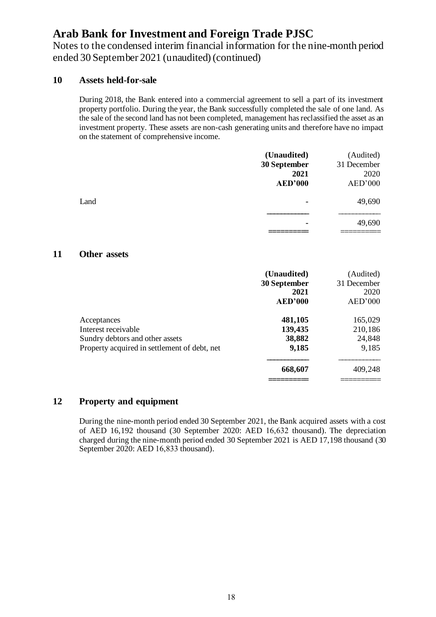Notes to the condensed interim financial information for the nine-month period ended 30 September 2021 (unaudited) (continued)

#### **10 Assets held-for-sale**

During 2018, the Bank entered into a commercial agreement to sell a part of its investment property portfolio. During the year, the Bank successfully completed the sale of one land. As the sale of the second land has not been completed, management has reclassified the asset as an investment property. These assets are non-cash generating units and therefore have no impact on the statement of comprehensive income.

|      | (Unaudited)    | (Audited)   |
|------|----------------|-------------|
|      | 30 September   | 31 December |
|      | 2021           | 2020        |
|      | <b>AED'000</b> | AED'000     |
| Land | ٠              | 49,690      |
|      |                |             |
|      | ۰              | 49,690      |
|      |                |             |

#### **11 Other assets**

|                                                                                                                       | (Unaudited)<br>30 September<br>2021<br><b>AED'000</b> | (Audited)<br>31 December<br>2020<br>AED'000 |
|-----------------------------------------------------------------------------------------------------------------------|-------------------------------------------------------|---------------------------------------------|
| Acceptances<br>Interest receivable<br>Sundry debtors and other assets<br>Property acquired in settlement of debt, net | 481,105<br>139,435<br>38,882<br>9,185                 | 165,029<br>210,186<br>24,848<br>9,185       |
|                                                                                                                       | 668,607                                               | 409,248                                     |

#### **12 Property and equipment**

During the nine-month period ended 30 September 2021, the Bank acquired assets with a cost of AED 16,192 thousand (30 September 2020: AED 16,632 thousand). The depreciation charged during the nine-month period ended 30 September 2021 is AED 17,198 thousand (30 September 2020: AED 16,833 thousand).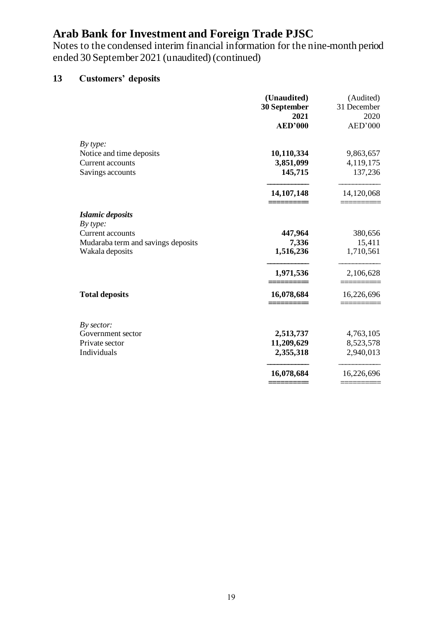Notes to the condensed interim financial information for the nine-month period ended 30 September 2021 (unaudited) (continued)

### **13 Customers' deposits**

|                                    | (Unaudited)<br>30 September<br>2021 | (Audited)<br>31 December<br>2020 |
|------------------------------------|-------------------------------------|----------------------------------|
|                                    | <b>AED'000</b>                      | AED'000                          |
| By type:                           |                                     |                                  |
| Notice and time deposits           | 10,110,334                          | 9,863,657                        |
| <b>Current accounts</b>            | 3,851,099                           | 4,119,175                        |
| Savings accounts                   | 145,715                             | 137,236                          |
|                                    | 14, 107, 148                        | 14,120,068                       |
| <b>Islamic deposits</b>            |                                     |                                  |
| By type:                           |                                     |                                  |
| Current accounts                   | 447,964                             | 380,656                          |
| Mudaraba term and savings deposits | 7,336                               | 15,411                           |
| Wakala deposits                    | 1,516,236                           | 1,710,561                        |
|                                    | 1,971,536                           | 2,106,628                        |
| <b>Total deposits</b>              | 16,078,684                          | 16,226,696                       |
| By sector:                         |                                     |                                  |
| Government sector                  | 2,513,737                           | 4,763,105                        |
| Private sector                     | 11,209,629                          | 8,523,578                        |
| Individuals                        | 2,355,318                           | 2,940,013                        |
|                                    | 16,078,684                          | 16,226,696                       |
|                                    |                                     |                                  |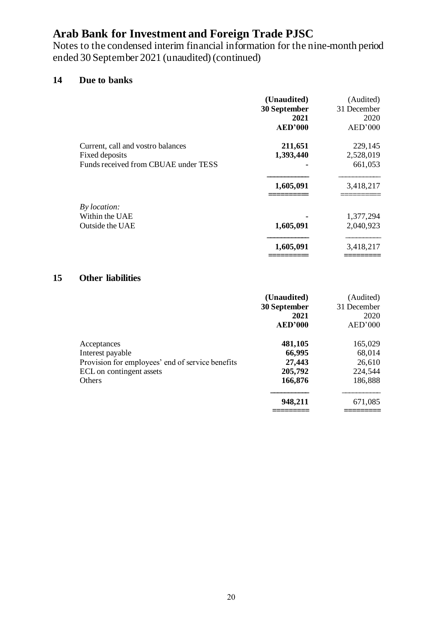Notes to the condensed interim financial information for the nine-month period ended 30 September 2021 (unaudited) (continued)

### **14 Due to banks**

|                                      | (Unaudited)<br>30 September<br>2021<br><b>AED'000</b> | (Audited)<br>31 December<br>2020<br>AED'000 |
|--------------------------------------|-------------------------------------------------------|---------------------------------------------|
| Current, call and vostro balances    | 211,651                                               | 229,145                                     |
| Fixed deposits                       | 1,393,440                                             | 2,528,019                                   |
| Funds received from CBUAE under TESS |                                                       | 661,053                                     |
|                                      | 1,605,091                                             | 3,418,217                                   |
| By location:                         |                                                       |                                             |
| Within the UAE                       |                                                       | 1,377,294                                   |
| Outside the UAE                      | 1,605,091                                             | 2,040,923                                   |
|                                      | 1,605,091                                             | 3,418,217                                   |
|                                      |                                                       |                                             |

### **15 Other liabilities**

|                                                                                                                                  | (Unaudited)<br>30 September<br>2021<br><b>AED'000</b>        | (Audited)<br>31 December<br>2020<br>AED'000                  |
|----------------------------------------------------------------------------------------------------------------------------------|--------------------------------------------------------------|--------------------------------------------------------------|
| Acceptances<br>Interest payable<br>Provision for employees' end of service benefits<br>ECL on contingent assets<br><b>Others</b> | 481,105<br>66,995<br>27,443<br>205,792<br>166,876<br>948,211 | 165,029<br>68,014<br>26,610<br>224,544<br>186,888<br>671,085 |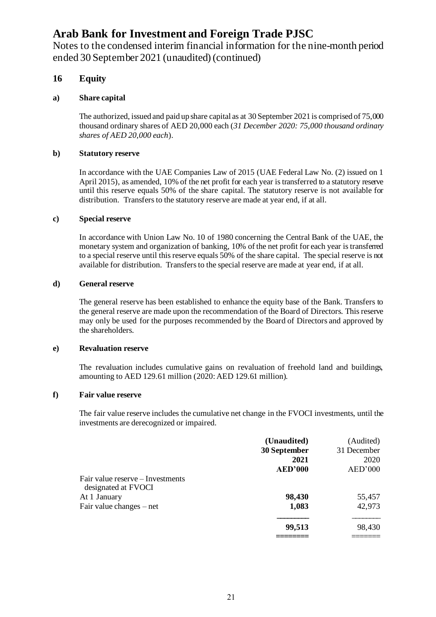Notes to the condensed interim financial information for the nine-month period ended 30 September 2021 (unaudited) (continued)

#### **16 Equity**

#### **a) Share capital**

The authorized, issued and paid up share capital as at 30 September 2021 is comprised of 75,000 thousand ordinary shares of AED 20,000 each (*31 December 2020: 75,000 thousand ordinary shares of AED 20,000 each*).

#### **b) Statutory reserve**

In accordance with the UAE Companies Law of 2015 (UAE Federal Law No. (2) issued on 1 April 2015), as amended, 10% of the net profit for each year is transferred to a statutory reserve until this reserve equals 50% of the share capital. The statutory reserve is not available for distribution. Transfers to the statutory reserve are made at year end, if at all.

#### **c) Special reserve**

In accordance with Union Law No. 10 of 1980 concerning the Central Bank of the UAE, the monetary system and organization of banking, 10% of the net profit for each year is transferred to a special reserve until this reserve equals 50% of the share capital. The special reserve is not available for distribution. Transfers to the special reserve are made at year end, if at all.

#### **d) General reserve**

The general reserve has been established to enhance the equity base of the Bank. Transfers to the general reserve are made upon the recommendation of the Board of Directors. This reserve may only be used for the purposes recommended by the Board of Directors and approved by the shareholders.

#### **e) Revaluation reserve**

The revaluation includes cumulative gains on revaluation of freehold land and buildings, amounting to AED 129.61 million (2020: AED 129.61 million).

#### **f) Fair value reserve**

The fair value reserve includes the cumulative net change in the FVOCI investments, until the investments are derecognized or impaired.

|                                                         | (Unaudited)    | (Audited)   |
|---------------------------------------------------------|----------------|-------------|
|                                                         | 30 September   | 31 December |
|                                                         | 2021           | 2020        |
|                                                         | <b>AED'000</b> | AED'000     |
| Fair value reserve – Investments<br>designated at FVOCI |                |             |
| At 1 January                                            | 98,430         | 55,457      |
| Fair value changes – net                                | 1,083          | 42,973      |
|                                                         | 99,513         | 98,430      |
|                                                         |                |             |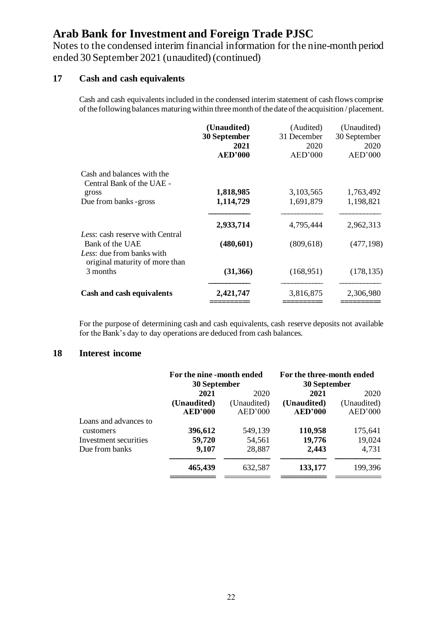Notes to the condensed interim financial information for the nine-month period ended 30 September 2021 (unaudited) (continued)

#### **17 Cash and cash equivalents**

Cash and cash equivalents included in the condensed interim statement of cash flows comprise of the following balances maturing within three month of the date of the acquisition / placement.

|                                                             | (Unaudited)<br>30 September<br>2021<br><b>AED'000</b> | (Audited)<br>31 December<br>2020<br>AED'000 | (Unaudited)<br>30 September<br>2020<br>AED'000 |
|-------------------------------------------------------------|-------------------------------------------------------|---------------------------------------------|------------------------------------------------|
| Cash and balances with the<br>Central Bank of the UAE -     |                                                       |                                             |                                                |
| gross                                                       | 1,818,985                                             | 3,103,565                                   | 1,763,492                                      |
| Due from banks -gross                                       | 1,114,729                                             | 1,691,879                                   | 1,198,821                                      |
|                                                             | 2,933,714                                             | 4,795,444                                   | 2,962,313                                      |
| Less: cash reserve with Central<br>Bank of the UAE          | (480, 601)                                            | (809, 618)                                  | (477, 198)                                     |
| Less: due from banks with<br>original maturity of more than |                                                       |                                             |                                                |
| 3 months                                                    | (31,366)                                              | (168, 951)                                  | (178, 135)                                     |
| Cash and cash equivalents                                   | 2,421,747                                             | 3,816,875                                   | 2,306,980                                      |
|                                                             |                                                       |                                             |                                                |

For the purpose of determining cash and cash equivalents, cash reserve deposits not available for the Bank's day to day operations are deduced from cash balances.

#### **18 Interest income**

|                       | For the nine -month ended |             | For the three-month ended |             |
|-----------------------|---------------------------|-------------|---------------------------|-------------|
|                       | 30 September              |             | 30 September              |             |
|                       | 2021                      | 2020        | 2021                      | 2020        |
|                       | (Unaudited)               | (Unaudited) | (Unaudited)               | (Unaudited) |
|                       | <b>AED'000</b>            | AED'000     | <b>AED'000</b>            | AED'000     |
| Loans and advances to |                           |             |                           |             |
| customers             | 396,612                   | 549,139     | 110,958                   | 175,641     |
| Investment securities | 59,720                    | 54,561      | 19,776                    | 19,024      |
| Due from banks        | 9,107                     | 28,887      | 2,443                     | 4,731       |
|                       | 465,439                   | 632,587     | 133,177                   | 199,396     |
|                       |                           |             |                           |             |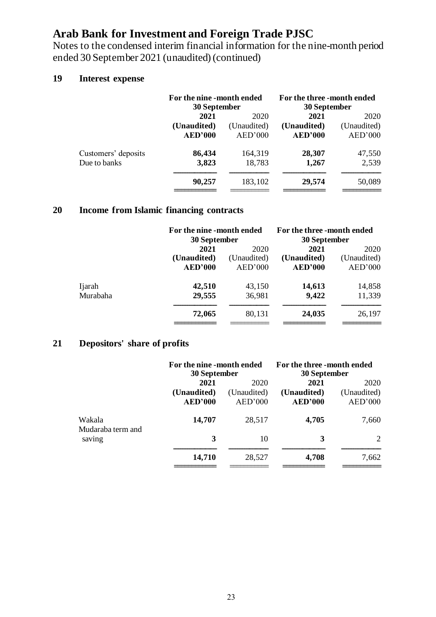Notes to the condensed interim financial information for the nine-month period ended 30 September 2021 (unaudited) (continued)

### **19 Interest expense**

| For the nine -month ended<br>30 September |             | For the three -month ended<br>30 September |             |
|-------------------------------------------|-------------|--------------------------------------------|-------------|
| 2021                                      | 2020        | 2021                                       | 2020        |
| (Unaudited)                               | (Unaudited) | (Unaudited)                                | (Unaudited) |
| <b>AED'000</b>                            | AED'000     | <b>AED'000</b>                             | AED'000     |
| 86,434                                    | 164,319     | 28,307                                     | 47,550      |
| 3,823                                     | 18,783      | 1,267                                      | 2,539       |
| 90,257                                    | 183,102     | 29,574                                     | 50,089      |
|                                           |             |                                            |             |

### **20 Income from Islamic financing contracts**

|          |                | For the nine -month ended<br>30 September |                | For the three -month ended<br>30 September |
|----------|----------------|-------------------------------------------|----------------|--------------------------------------------|
|          | 2021           | 2020                                      | 2021           | 2020                                       |
|          | (Unaudited)    | (Unaudited)                               | (Unaudited)    | (Unaudited)                                |
|          | <b>AED'000</b> | AED'000                                   | <b>AED'000</b> | AED'000                                    |
| Ijarah   | 42,510         | 43,150                                    | 14,613         | 14,858                                     |
| Murabaha | 29,555         | 36,981                                    | 9,422          | 11,339                                     |
|          | 72,065         | 80,131                                    | 24,035         | 26,197                                     |
|          |                |                                           |                |                                            |

### **21 Depositors' share of profits**

|                                       | For the nine -month ended<br>30 September |             | For the three -month ended<br>30 September |             |
|---------------------------------------|-------------------------------------------|-------------|--------------------------------------------|-------------|
|                                       | 2021                                      | 2020        | 2021                                       | 2020        |
|                                       | (Unaudited)                               | (Unaudited) | (Unaudited)                                | (Unaudited) |
|                                       | <b>AED'000</b>                            | AED'000     | <b>AED'000</b>                             | AED'000     |
| Wakala<br>Mudaraba term and<br>saving | 14,707                                    | 28,517      | 4,705                                      | 7,660       |
|                                       | 3                                         | 10          | 3                                          | 2           |
|                                       | 14,710                                    | 28,527      | 4,708                                      | 7,662       |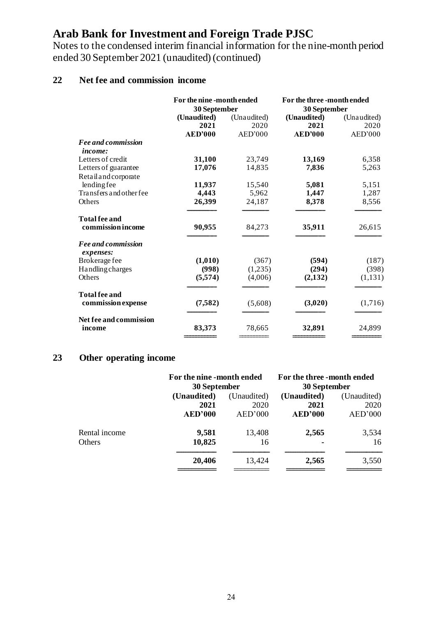Notes to the condensed interim financial information for the nine-month period ended 30 September 2021 (unaudited) (continued)

### **22 Net fee and commission income**

|                                           | For the nine -month ended<br>30 September |             | For the three-month ended<br>30 September |             |
|-------------------------------------------|-------------------------------------------|-------------|-------------------------------------------|-------------|
|                                           | (Unaudited)                               | (Unaudited) | (Unaudited)                               | (Unaudited) |
|                                           | 2021                                      | 2020        | 2021                                      | 2020        |
|                                           | <b>AED'000</b>                            | AED'000     | <b>AED'000</b>                            | AED'000     |
| <b>Fee and commission</b>                 |                                           |             |                                           |             |
| <i>income:</i>                            |                                           |             |                                           |             |
| Letters of credit                         | 31,100                                    | 23,749      | 13,169                                    | 6,358       |
| Letters of guarantee                      | 17,076                                    | 14,835      | 7,836                                     | 5,263       |
| Retail and corporate                      |                                           |             |                                           |             |
| lendingfee                                | 11,937                                    | 15,540      | 5,081                                     | 5,151       |
| Transfers and other fee                   | 4,443                                     | 5,962       | 1,447                                     | 1,287       |
| Others                                    | 26,399                                    | 24,187      | 8,378                                     | 8,556       |
| <b>Total fee and</b><br>commission income | 90,955                                    | 84,273      | 35,911                                    | 26,615      |
| <b>Fee and commission</b><br>expenses:    |                                           |             |                                           |             |
| Brokerage fee                             | (1,010)                                   | (367)       | (594)                                     | (187)       |
| <b>Handling charges</b>                   | (998)                                     | (1,235)     | (294)                                     | (398)       |
| Others                                    | (5,574)                                   | (4,006)     | (2,132)                                   | (1,131)     |
| <b>Total fee and</b>                      |                                           |             |                                           |             |
| commission expense                        | (7, 582)                                  | (5,608)     | (3,020)                                   | (1,716)     |
| Net fee and commission                    |                                           |             |                                           |             |
| income                                    | 83,373                                    | 78,665      | 32,891                                    | 24,899      |
|                                           |                                           |             |                                           |             |

### **23 Other operating income**

|               |                | For the nine -month ended<br>30 September |                | For the three -month ended<br>30 September |
|---------------|----------------|-------------------------------------------|----------------|--------------------------------------------|
|               | (Unaudited)    | (Unaudited)                               | (Unaudited)    | (Unaudited)                                |
|               | 2021           | 2020                                      | 2021           | 2020                                       |
|               | <b>AED'000</b> | AED'000                                   | <b>AED'000</b> | AED'000                                    |
| Rental income | 9,581          | 13,408                                    | 2,565          | 3,534                                      |
| <b>Others</b> | 10,825         | 16                                        |                | 16                                         |
|               | 20,406         | 13,424                                    | 2,565          | 3,550                                      |
|               |                |                                           |                |                                            |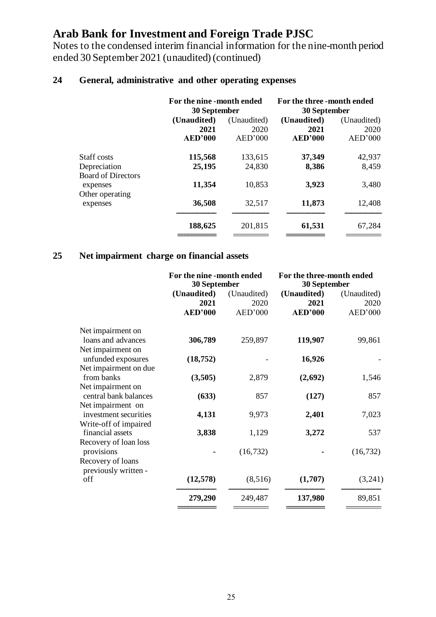Notes to the condensed interim financial information for the nine-month period ended 30 September 2021 (unaudited) (continued)

| 24 |  | General, administrative and other operating expenses |  |  |  |
|----|--|------------------------------------------------------|--|--|--|
|----|--|------------------------------------------------------|--|--|--|

| For the nine -month ended |             |                |                                            |
|---------------------------|-------------|----------------|--------------------------------------------|
| (Unaudited)               | (Unaudited) | (Unaudited)    | (Unaudited)                                |
| 2021                      | 2020        | 2021           | 2020                                       |
| <b>AED'000</b>            | AED'000     | <b>AED'000</b> | AED'000                                    |
| 115,568                   | 133,615     | 37,349         | 42,937                                     |
| 25,195                    | 24,830      | 8,386          | 8,459                                      |
| 11,354                    | 10,853      | 3,923          | 3,480                                      |
| 36,508                    | 32,517      | 11,873         | 12,408                                     |
| 188,625                   | 201,815     | 61,531         | 67,284                                     |
|                           |             | 30 September   | For the three -month ended<br>30 September |

### **25 Net impairment charge on financial assets**

|                             | For the nine -month ended<br>30 September |             | For the three-month ended<br>30 September |             |
|-----------------------------|-------------------------------------------|-------------|-------------------------------------------|-------------|
|                             | (Unaudited)                               | (Unaudited) | (Unaudited)                               | (Unaudited) |
|                             | 2021                                      | 2020        | 2021                                      | 2020        |
|                             | <b>AED'000</b>                            | AED'000     | <b>AED'000</b>                            | AED'000     |
| Net impairment on           |                                           |             |                                           |             |
| loans and advances          | 306,789                                   | 259,897     | 119,907                                   | 99,861      |
| Net impairment on           |                                           |             |                                           |             |
| unfunded exposures          | (18, 752)                                 |             | 16,926                                    |             |
| Net impairment on due       |                                           |             |                                           |             |
| from banks                  | (3,505)                                   | 2,879       | (2,692)                                   | 1,546       |
| Net impairment on           |                                           |             |                                           |             |
| central bank balances       | (633)                                     | 857         | (127)                                     | 857         |
| Net impairment on           |                                           |             |                                           |             |
| investment securities       | 4,131                                     | 9,973       | 2,401                                     | 7,023       |
| Write-off of impaired       |                                           |             |                                           |             |
| financial assets            | 3,838                                     | 1,129       | 3,272                                     | 537         |
| Recovery of loan loss       |                                           |             |                                           |             |
| provisions                  |                                           | (16, 732)   |                                           | (16, 732)   |
| Recovery of loans           |                                           |             |                                           |             |
| previously written -<br>off |                                           |             |                                           |             |
|                             | (12, 578)                                 | (8,516)     | (1,707)                                   | (3,241)     |
|                             | 279,290                                   | 249,487     | 137,980                                   | 89,851      |
|                             |                                           |             |                                           |             |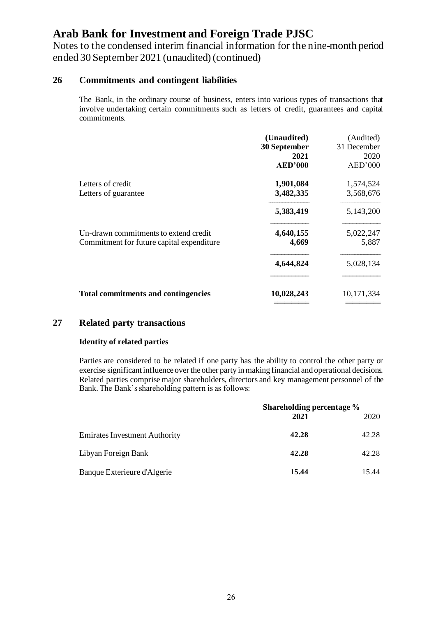Notes to the condensed interim financial information for the nine-month period ended 30 September 2021 (unaudited) (continued)

#### **26 Commitments and contingent liabilities**

The Bank, in the ordinary course of business, enters into various types of transactions that involve undertaking certain commitments such as letters of credit, guarantees and capital commitments.

|                                                                                    | (Unaudited)<br>30 September<br>2021<br><b>AED'000</b> | (Audited)<br>31 December<br>2020<br>AED'000 |
|------------------------------------------------------------------------------------|-------------------------------------------------------|---------------------------------------------|
| Letters of credit<br>Letters of guarantee                                          | 1,901,084<br>3,482,335                                | 1,574,524<br>3,568,676                      |
|                                                                                    | 5,383,419                                             | 5,143,200                                   |
| Un-drawn commitments to extend credit<br>Commitment for future capital expenditure | 4,640,155<br>4,669                                    | 5,022,247<br>5,887                          |
|                                                                                    | 4,644,824                                             | 5,028,134                                   |
| <b>Total commitments and contingencies</b>                                         | 10,028,243                                            | 10,171,334                                  |

#### **27 Related party transactions**

#### **Identity of related parties**

Parties are considered to be related if one party has the ability to control the other party or exercise significant influence over the other party in making financial and operational decisions. Related parties comprise major shareholders, directors and key management personnel of the Bank. The Bank's shareholding pattern is as follows:

|                                      | Shareholding percentage %<br>2021 | 2020  |
|--------------------------------------|-----------------------------------|-------|
| <b>Emirates Investment Authority</b> | 42.28                             | 42.28 |
| Libyan Foreign Bank                  | 42.28                             | 42.28 |
| Banque Exterieure d'Algerie          | 15.44                             | 15.44 |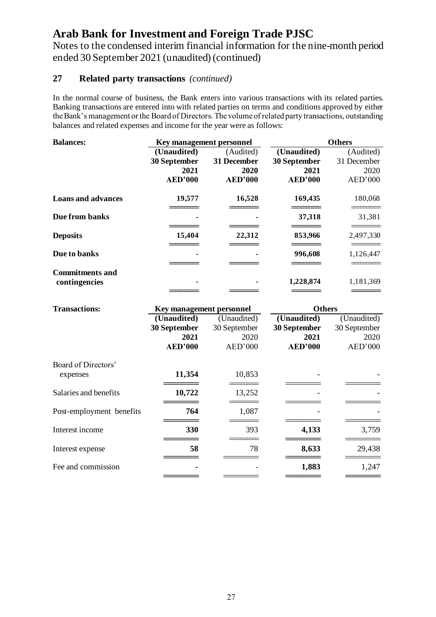Notes to the condensed interim financial information for the nine-month period ended 30 September 2021 (unaudited) (continued)

### **27 Related party transactions** *(continued)*

In the normal course of business, the Bank enters into various transactions with its related parties. Banking transactions are entered into with related parties on terms and conditions approved by either the Bank's management or the Board of Directors. The volume of related party transactions, outstanding balances and related expenses and income for the year were as follows:

| <b>Balances:</b>          |                | Key management personnel |                | <b>Others</b> |  |
|---------------------------|----------------|--------------------------|----------------|---------------|--|
|                           | (Unaudited)    | (Audited)                | (Unaudited)    | (Audited)     |  |
|                           | 30 September   | 31 December              | 30 September   | 31 December   |  |
|                           | 2021           | 2020                     | 2021           | 2020          |  |
|                           | <b>AED'000</b> | <b>AED'000</b>           | <b>AED'000</b> | AED'000       |  |
| <b>Loans and advances</b> | 19,577         | 16,528                   | 169,435        | 180,068       |  |
| Due from banks            | ٠              | ۰                        | 37,318         | 31,381        |  |
| <b>Deposits</b>           | 15,404         | 22,312                   | 853,966        | 2,497,330     |  |
| Due to banks              | $\blacksquare$ | ۰                        | 996,608        | 1,126,447     |  |
| <b>Commitments and</b>    |                |                          |                |               |  |
| contingencies             |                |                          | 1,228,874      | 1,181,369     |  |

| <b>Transactions:</b>     | <b>Key management personnel</b> |              | <b>Others</b>  |              |
|--------------------------|---------------------------------|--------------|----------------|--------------|
|                          | (Unaudited)                     | (Unaudited)  | (Unaudited)    | (Unaudited)  |
|                          | 30 September                    | 30 September | 30 September   | 30 September |
|                          | 2021                            | 2020         | 2021           | 2020         |
|                          | <b>AED'000</b>                  | AED'000      | <b>AED'000</b> | AED'000      |
| Board of Directors'      |                                 |              |                |              |
| expenses                 | 11,354                          | 10,853       |                |              |
| Salaries and benefits    | 10,722                          | 13,252       |                |              |
| Post-employment benefits | 764                             | 1,087        |                |              |
| Interest income          | 330                             | 393          | 4,133          | 3,759        |
| Interest expense         | 58                              | 78           | 8,633          | 29,438       |
| Fee and commission       |                                 |              | 1,883          | 1,247        |
|                          |                                 |              |                |              |